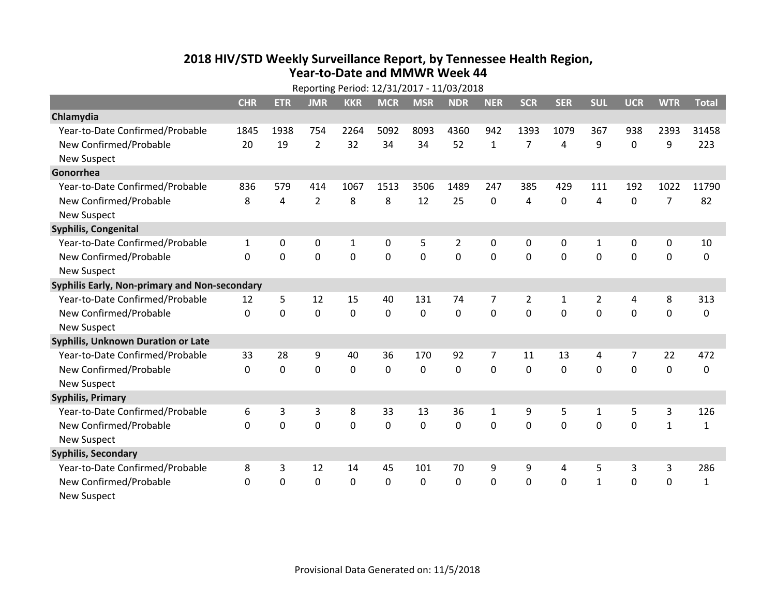## **2018 HIV /STD Weekl y Surveillance Report, b y Tennessee Health Region, Year‐to‐Date and MMWR Week 44**

|                                               | Reporting Period: 12/31/2017 - 11/03/2018 |             |                |             |                |                |                |              |                |                |                |             |                |              |
|-----------------------------------------------|-------------------------------------------|-------------|----------------|-------------|----------------|----------------|----------------|--------------|----------------|----------------|----------------|-------------|----------------|--------------|
|                                               | <b>CHR</b>                                | <b>ETR</b>  | <b>JMR</b>     | <b>KKR</b>  | <b>MCR</b>     | <b>MSR</b>     | <b>NDR</b>     | <b>NER</b>   | <b>SCR</b>     | <b>SER</b>     | <b>SUL</b>     | <b>UCR</b>  | <b>WTR</b>     | <b>Total</b> |
| Chlamydia                                     |                                           |             |                |             |                |                |                |              |                |                |                |             |                |              |
| Year-to-Date Confirmed/Probable               | 1845                                      | 1938        | 754            | 2264        | 5092           | 8093           | 4360           | 942          | 1393           | 1079           | 367            | 938         | 2393           | 31458        |
| New Confirmed/Probable                        | 20                                        | 19          | $\overline{2}$ | 32          | 34             | 34             | 52             | $\mathbf{1}$ | $\overline{7}$ | 4              | 9              | $\mathbf 0$ | 9              | 223          |
| <b>New Suspect</b>                            |                                           |             |                |             |                |                |                |              |                |                |                |             |                |              |
| Gonorrhea                                     |                                           |             |                |             |                |                |                |              |                |                |                |             |                |              |
| Year-to-Date Confirmed/Probable               | 836                                       | 579         | 414            | 1067        | 1513           | 3506           | 1489           | 247          | 385            | 429            | 111            | 192         | 1022           | 11790        |
| New Confirmed/Probable                        | 8                                         | 4           | $\overline{2}$ | 8           | 8              | 12             | 25             | 0            | 4              | $\mathbf 0$    | 4              | $\mathbf 0$ | $\overline{7}$ | 82           |
| <b>New Suspect</b>                            |                                           |             |                |             |                |                |                |              |                |                |                |             |                |              |
| Syphilis, Congenital                          |                                           |             |                |             |                |                |                |              |                |                |                |             |                |              |
| Year-to-Date Confirmed/Probable               | $\mathbf{1}$                              | 0           | 0              | 1           | 0              | 5              | 2              | 0            | 0              | 0              | 1              | 0           | 0              | 10           |
| New Confirmed/Probable                        | $\Omega$                                  | $\Omega$    | $\mathbf 0$    | $\mathbf 0$ | $\overline{0}$ | $\overline{0}$ | $\overline{0}$ | 0            | $\overline{0}$ | $\mathbf 0$    | $\mathbf 0$    | $\mathbf 0$ | $\mathbf 0$    | $\mathbf{0}$ |
| <b>New Suspect</b>                            |                                           |             |                |             |                |                |                |              |                |                |                |             |                |              |
| Syphilis Early, Non-primary and Non-secondary |                                           |             |                |             |                |                |                |              |                |                |                |             |                |              |
| Year-to-Date Confirmed/Probable               | 12                                        | 5           | 12             | 15          | 40             | 131            | 74             | 7            | $\overline{2}$ | $\mathbf{1}$   | $\overline{2}$ | 4           | 8              | 313          |
| New Confirmed/Probable                        | $\Omega$                                  | $\mathbf 0$ | $\mathbf 0$    | 0           | $\mathbf 0$    | $\mathbf 0$    | $\overline{0}$ | $\Omega$     | $\Omega$       | $\overline{0}$ | $\Omega$       | $\mathbf 0$ | $\mathbf 0$    | 0            |
| <b>New Suspect</b>                            |                                           |             |                |             |                |                |                |              |                |                |                |             |                |              |
| <b>Syphilis, Unknown Duration or Late</b>     |                                           |             |                |             |                |                |                |              |                |                |                |             |                |              |
| Year-to-Date Confirmed/Probable               | 33                                        | 28          | 9              | 40          | 36             | 170            | 92             | 7            | 11             | 13             | 4              | 7           | 22             | 472          |
| New Confirmed/Probable                        | $\Omega$                                  | $\mathbf 0$ | $\mathbf 0$    | $\mathbf 0$ | $\mathbf 0$    | $\mathbf{0}$   | $\mathbf 0$    | $\Omega$     | $\Omega$       | $\Omega$       | $\Omega$       | $\mathbf 0$ | $\mathbf 0$    | $\mathbf{0}$ |
| <b>New Suspect</b>                            |                                           |             |                |             |                |                |                |              |                |                |                |             |                |              |
| <b>Syphilis, Primary</b>                      |                                           |             |                |             |                |                |                |              |                |                |                |             |                |              |
| Year-to-Date Confirmed/Probable               | 6                                         | 3           | 3              | 8           | 33             | 13             | 36             | $\mathbf{1}$ | 9              | 5              | $\mathbf{1}$   | 5           | 3              | 126          |
| New Confirmed/Probable                        | $\Omega$                                  | $\mathbf 0$ | $\mathbf 0$    | $\mathbf 0$ | $\mathbf 0$    | $\mathbf 0$    | $\mathbf 0$    | 0            | $\mathbf 0$    | $\mathbf 0$    | $\mathbf 0$    | 0           | $\mathbf{1}$   | $\mathbf{1}$ |
| <b>New Suspect</b>                            |                                           |             |                |             |                |                |                |              |                |                |                |             |                |              |
| <b>Syphilis, Secondary</b>                    |                                           |             |                |             |                |                |                |              |                |                |                |             |                |              |
| Year-to-Date Confirmed/Probable               | 8                                         | 3           | 12             | 14          | 45             | 101            | 70             | 9            | 9              | 4              | 5              | 3           | 3              | 286          |
| New Confirmed/Probable                        | 0                                         | 0           | $\mathbf 0$    | $\mathbf 0$ | 0              | 0              | $\mathbf 0$    | 0            | 0              | 0              | $\mathbf{1}$   | 0           | $\mathbf 0$    | $\mathbf{1}$ |
| <b>New Suspect</b>                            |                                           |             |                |             |                |                |                |              |                |                |                |             |                |              |